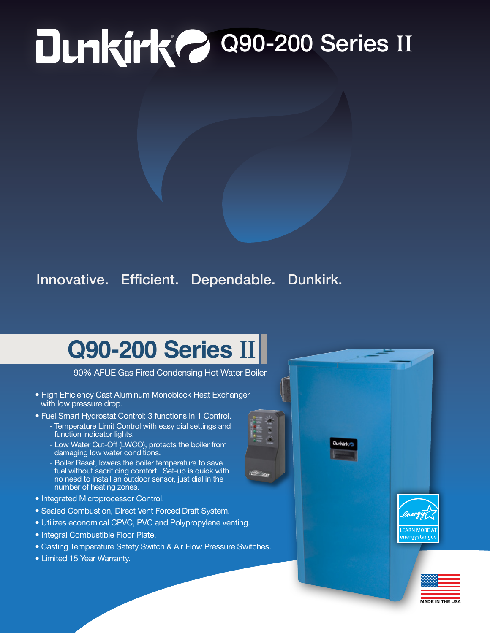## **PO 200-200 Series II**

## Innovative. Efficient. Dependable. Dunkirk.

## **Q90-200 Series II**

90% AFUE Gas Fired Condensing Hot Water Boiler

- High Efficiency Cast Aluminum Monoblock Heat Exchanger with low pressure drop.
- Fuel Smart Hydrostat Control: 3 functions in 1 Control. - Temperature Limit Control with easy dial settings and
	- function indicator lights.
	- Low Water Cut-Off (LWCO), protects the boiler from damaging low water conditions.
	- Boiler Reset, lowers the boiler temperature to save fuel without sacrificing comfort. Set-up is quick with no need to install an outdoor sensor, just dial in the number of heating zones.
- Integrated Microprocessor Control.
- Sealed Combustion, Direct Vent Forced Draft System.
- Utilizes economical CPVC, PVC and Polypropylene venting.
- Integral Combustible Floor Plate.
- Casting Temperature Safety Switch & Air Flow Pressure Switches.
- Limited 15 Year Warranty.